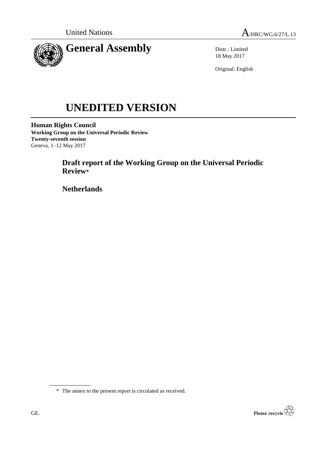



Distr.: Limited 18 May 2017

Original: English

# **UNEDITED VERSION**

**Human Rights Council Working Group on the Universal Periodic Review Twenty-seventh session** Geneva, 1–12 May 2017

> **Draft report of the Working Group on the Universal Periodic Review\***

**Netherlands**

\* The annex to the present report is circulated as received.

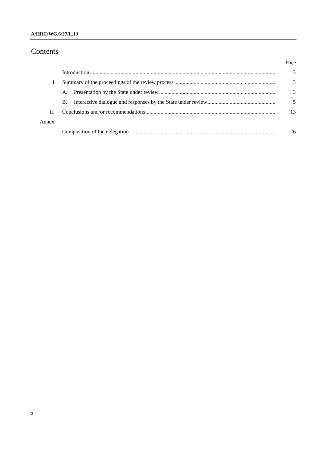# Contents

|       |           | Page |
|-------|-----------|------|
|       |           | 3    |
|       |           | 3    |
|       | A.        | 3    |
|       | <b>B.</b> |      |
| H.    |           | 13   |
| Annex |           |      |
|       |           | 26   |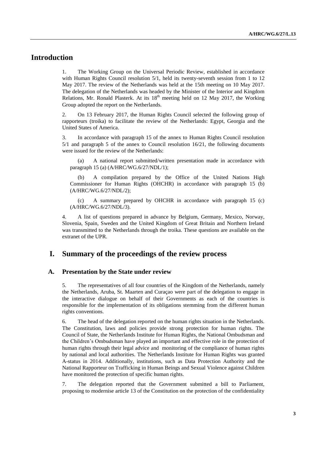# **Introduction**

1. The Working Group on the Universal Periodic Review, established in accordance with Human Rights Council resolution 5/1, held its twenty-seventh session from 1 to 12 May 2017. The review of the Netherlands was held at the 15th meeting on 10 May 2017. The delegation of the Netherlands was headed by the Minister of the Interior and Kingdom Relations, Mr. Ronald Plasterk. At its  $18<sup>th</sup>$  meeting held on 12 May 2017, the Working Group adopted the report on the Netherlands.

2. On 13 February 2017, the Human Rights Council selected the following group of rapporteurs (troika) to facilitate the review of the Netherlands: Egypt, Georgia and the United States of America.

3. In accordance with paragraph 15 of the annex to Human Rights Council resolution 5/1 and paragraph 5 of the annex to Council resolution 16/21, the following documents were issued for the review of the Netherlands:

(a) A national report submitted/written presentation made in accordance with paragraph 15 (a) (A/HRC/WG.6/27/NDL/1);

(b) A compilation prepared by the Office of the United Nations High Commissioner for Human Rights (OHCHR) in accordance with paragraph 15 (b) (A/HRC/WG.6/27/NDL/2);

(c) A summary prepared by OHCHR in accordance with paragraph 15 (c) (A/HRC/WG.6/27/NDL/3).

4. A list of questions prepared in advance by Belgium, Germany, Mexico, Norway, Slovenia, Spain, Sweden and the United Kingdom of Great Britain and Northern Ireland was transmitted to the Netherlands through the troika. These questions are available on the extranet of the UPR.

## **I. Summary of the proceedings of the review process**

#### **A. Presentation by the State under review**

5. The representatives of all four countries of the Kingdom of the Netherlands, namely the Netherlands, Aruba, St. Maarten and Curaçao were part of the delegation to engage in the interactive dialogue on behalf of their Governments as each of the countries is responsible for the implementation of its obligations stemming from the different human rights conventions.

6. The head of the delegation reported on the human rights situation in the Netherlands. The Constitution, laws and policies provide strong protection for human rights. The Council of State, the Netherlands Institute for Human Rights, the National Ombudsman and the Children's Ombudsman have played an important and effective role in the protection of human rights through their legal advice and monitoring of the compliance of human rights by national and local authorities. The Netherlands Institute for Human Rights was granted A-status in 2014. Additionally, institutions, such as Data Protection Authority and the National Rapporteur on Trafficking in Human Beings and Sexual Violence against Children have monitored the protection of specific human rights.

7. The delegation reported that the Government submitted a bill to Parliament, proposing to modernise article 13 of the Constitution on the protection of the confidentiality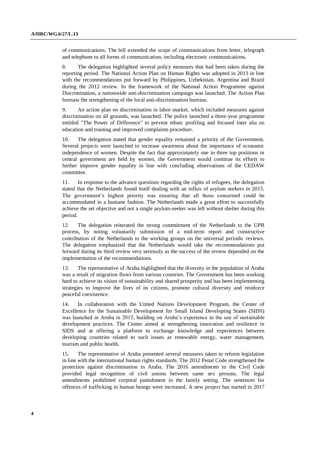of communications. The bill extended the scope of communications from letter, telegraph and telephone to all forms of communication, including electronic communications.

8. The delegation highlighted several policy measures that had been taken during the reporting period. The National Action Plan on Human Rights was adopted in 2013 in line with the recommendations put forward by Philippines, Uzbekistan, Argentina and Brazil during the 2012 review. In the framework of the National Action Programme against Discrimination, a nationwide anti-discrimination campaign was launched. The Action Plan foresaw the strengthening of the local anti-discrimination bureaus.

9. An action plan on discrimination in labor market, which included measures against discrimination on all grounds, was launched. The police launched a three-year programme entitled "The Power of Difference" to prevent ethnic profiling and focused inter alia on education and training and improved complaints procedure.

10. The delegation stated that gender equality remained a priority of the Government. Several projects were launched to increase awareness about the importance of economic independence of women. Despite the fact that approximately one in three top positions in central government are held by women, the Government would continue its efforts to further improve gender equality in line with concluding observations of the CEDAW committee.

11. In response to the advance questions regarding the rights of refugees, the delegation stated that the Netherlands found itself dealing with an influx of asylum seekers in 2015. The government's highest priority was ensuring that all those concerned could be accommodated in a humane fashion. The Netherlands made a great effort to successfully achieve the set objective and not a single asylum-seeker was left without shelter during this period.

12. The delegation reiterated the strong commitment of the Netherlands to the UPR process, by noting voluntarily submission of a mid-term report and constructive contribution of the Netherlands to the working groups on the universal periodic reviews. The delegation emphasized that the Netherlands would take the recommendations put forward during its third review very seriously as the success of the review depended on the implementation of the recommendations.

13. The representative of Aruba highlighted that the diversity in the population of Aruba was a result of migration flows from various countries. The Government has been working hard to achieve its vision of sustainability and shared prosperity and has been implementing strategies to improve the lives of its citizens, promote cultural diversity and reinforce peaceful coexistence.

14. In collaboration with the United Nations Development Program, the Center of Excellence for the Sustainable Development for Small Island Developing States (SIDS) was launched in Aruba in 2015, building on Aruba's experience in the use of sustainable development practices. The Center aimed at strengthening innovation and resilience in SIDS and at offering a platform to exchange knowledge and experiences between developing countries related to such issues as renewable energy, water management, tourism and public health.

15. The representative of Aruba presented several measures taken to reform legislation in line with the international human rights standards. The 2012 Penal Code strengthened the protection against discrimination in Aruba. The 2016 amendments to the Civil Code provided legal recognition of civil unions between same sex persons. The legal amendments prohibited corporal punishment in the family setting. The sentences for offences of trafficking in human beings were increased. A new project has started in 2017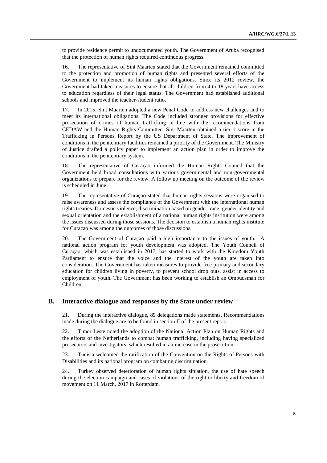to provide residence permit to undocumented youth. The Government of Aruba recognised that the protection of human rights required continuous progress.

16. The representative of Sint Maarten stated that the Government remained committed to the protection and promotion of human rights and presented several efforts of the Government to implement its human rights obligations. Since its 2012 review, the Government had taken measures to ensure that all children from 4 to 18 years have access to education regardless of their legal status. The Government had established additional schools and improved the teacher-student ratio.

17. In 2015, Sint Maarten adopted a new Penal Code to address new challenges and to meet its international obligations. The Code included stronger provisions for effective prosecution of crimes of human trafficking in line with the recommendations from CEDAW and the Human Rights Committee. Sint Maarten obtained a tier 1 score in the Trafficking in Persons Report by the US Department of State. The improvement of conditions in the penitentiary facilities remained a priority of the Government. The Ministry of Justice drafted a policy paper to implement an action plan in order to improve the conditions in the penitentiary system.

18. The representative of Curaçao informed the Human Rights Council that the Government held broad consultations with various governmental and non-governmental organizations to prepare for the review. A follow up meeting on the outcome of the review is scheduled in June.

19. The representative of Curaçao stated that human rights sessions were organised to raise awareness and assess the compliance of the Government with the international human rights treaties. Domestic violence, discrimination based on gender, race, gender identity and sexual orientation and the establishment of a national human rights institution were among the issues discussed during those sessions. The decision to establish a human rights institute for Curaçao was among the outcomes of those discussions.

20. The Government of Curaçao paid a high importance to the issues of youth. A national action program for youth development was adopted. The Youth Council of Curaçao, which was established in 2017, has started to work with the Kingdom Youth Parliament to ensure that the voice and the interest of the youth are taken into consideration. The Government has taken measures to provide free primary and secondary education for children living in poverty, to prevent school drop outs, assist in access to employment of youth. The Government has been working to establish an Ombudsman for Children.

#### **B. Interactive dialogue and responses by the State under review**

21. During the interactive dialogue, 89 delegations made statements. Recommendations made during the dialogue are to be found in section II of the present report.

22. Timor Leste noted the adoption of the National Action Plan on Human Rights and the efforts of the Netherlands to combat human trafficking, including having specialized prosecutors and investigators, which resulted in an increase in the prosecution.

23. Tunisia welcomed the ratification of the Convention on the Rights of Persons with Disabilities and its national program on combating discrimination.

24. Turkey observed deterioration of human rights situation, the use of hate speech during the election campaign and cases of violations of the right to liberty and freedom of movement on 11 March, 2017 in Rotterdam.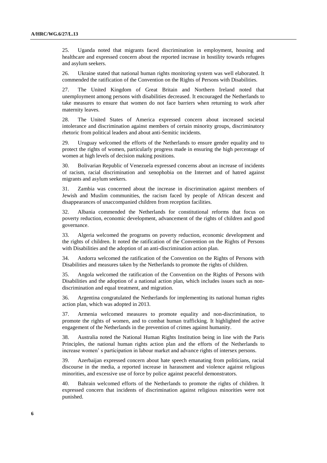25. Uganda noted that migrants faced discrimination in employment, housing and healthcare and expressed concern about the reported increase in hostility towards refugees and asylum seekers.

26. Ukraine stated that national human rights monitoring system was well elaborated. It commended the ratification of the Convention on the Rights of Persons with Disabilities.

27. The United Kingdom of Great Britain and Northern Ireland noted that unemployment among persons with disabilities decreased. It encouraged the Netherlands to take measures to ensure that women do not face barriers when returning to work after maternity leaves.

28. The United States of America expressed concern about increased societal intolerance and discrimination against members of certain minority groups, discriminatory rhetoric from political leaders and about anti-Semitic incidents.

29. Uruguay welcomed the efforts of the Netherlands to ensure gender equality and to protect the rights of women, particularly progress made in ensuring the high percentage of women at high levels of decision making positions.

30. Bolivarian Republic of Venezuela expressed concerns about an increase of incidents of racism, racial discrimination and xenophobia on the Internet and of hatred against migrants and asylum seekers.

31. Zambia was concerned about the increase in discrimination against members of Jewish and Muslim communities, the racism faced by people of African descent and disappearances of unaccompanied children from reception facilities.

32. Albania commended the Netherlands for constitutional reforms that focus on poverty reduction, economic development, advancement of the rights of children and good governance.

33. Algeria welcomed the programs on poverty reduction, economic development and the rights of children. It noted the ratification of the Convention on the Rights of Persons with Disabilities and the adoption of an anti-discrimination action plan.

34. Andorra welcomed the ratification of the Convention on the Rights of Persons with Disabilities and measures taken by the Netherlands to promote the rights of children.

35. Angola welcomed the ratification of the Convention on the Rights of Persons with Disabilities and the adoption of a national action plan, which includes issues such as nondiscrimination and equal treatment, and migration.

36. Argentina congratulated the Netherlands for implementing its national human rights action plan, which was adopted in 2013.

37. Armenia welcomed measures to promote equality and non-discrimination, to promote the rights of women, and to combat human trafficking. It highlighted the active engagement of the Netherlands in the prevention of crimes against humanity.

38. Australia noted the National Human Rights Institution being in line with the Paris Principles, the national human rights action plan and the efforts of the Netherlands to increase women' s participation in labour market and advance rights of intersex persons.

39. Azerbaijan expressed concern about hate speech emanating from politicians, racial discourse in the media, a reported increase in harassment and violence against religious minorities, and excessive use of force by police against peaceful demonstrators.

40. Bahrain welcomed efforts of the Netherlands to promote the rights of children. It expressed concern that incidents of discrimination against religious minorities were not punished.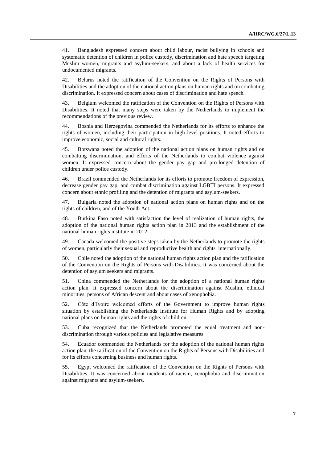41. Bangladesh expressed concern about child labour, racist bullying in schools and systematic detention of children in police custody, discrimination and hate speech targeting Muslim women, migrants and asylum-seekers, and about a lack of health services for undocumented migrants.

42. Belarus noted the ratification of the Convention on the Rights of Persons with Disabilities and the adoption of the national action plans on human rights and on combating discrimination. It expressed concern about cases of discrimination and hate speech.

43. Belgium welcomed the ratification of the Convention on the Rights of Persons with Disabilities. It noted that many steps were taken by the Netherlands to implement the recommendations of the previous review.

44. Bosnia and Herzegovina commended the Netherlands for its efforts to enhance the rights of women, including their participation in high level positions. It noted efforts to improve economic, social and cultural rights.

45. Botswana noted the adoption of the national action plans on human rights and on combatting discrimination, and efforts of the Netherlands to combat violence against women. It expressed concern about the gender pay gap and pro-longed detention of children under police custody.

46. Brazil commended the Netherlands for its efforts to promote freedom of expression, decrease gender pay gap, and combat discrimination against LGBTI persons. It expressed concern about ethnic profiling and the detention of migrants and asylum-seekers.

47. Bulgaria noted the adoption of national action plans on human rights and on the rights of children, and of the Youth Act.

48. Burkina Faso noted with satisfaction the level of realization of human rights, the adoption of the national human rights action plan in 2013 and the establishment of the national human rights institute in 2012.

49. Canada welcomed the positive steps taken by the Netherlands to promote the rights of women, particularly their sexual and reproductive health and rights, internationally.

50. Chile noted the adoption of the national human rights action plan and the ratification of the Convention on the Rights of Persons with Disabilities. It was concerned about the detention of asylum seekers and migrants.

51. China commended the Netherlands for the adoption of a national human rights action plan. It expressed concern about the discrimination against Muslim, ethnical minorities, persons of African descent and about cases of xenophobia.

52. Côte d'Ivoire welcomed efforts of the Government to improve human rights situation by establishing the Netherlands Institute for Human Rights and by adopting national plans on human rights and the rights of children.

53. Cuba recognized that the Netherlands promoted the equal treatment and nondiscrimination through various policies and legislative measures.

54. Ecuador commended the Netherlands for the adoption of the national human rights action plan, the ratification of the Convention on the Rights of Persons with Disabilities and for its efforts concerning business and human rights.

55. Egypt welcomed the ratification of the Convention on the Rights of Persons with Disabilities. It was concerned about incidents of racism, xenophobia and discrimination against migrants and asylum-seekers.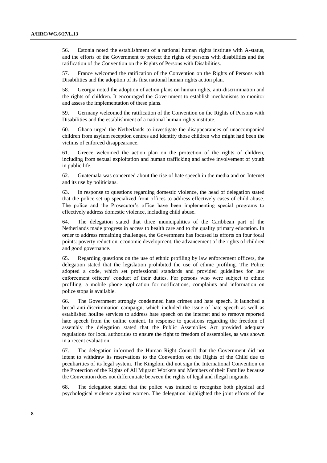56. Estonia noted the establishment of a national human rights institute with A-status, and the efforts of the Government to protect the rights of persons with disabilities and the ratification of the Convention on the Rights of Persons with Disabilities.

57. France welcomed the ratification of the Convention on the Rights of Persons with Disabilities and the adoption of its first national human rights action plan.

58. Georgia noted the adoption of action plans on human rights, anti-discrimination and the rights of children. It encouraged the Government to establish mechanisms to monitor and assess the implementation of these plans.

59. Germany welcomed the ratification of the Convention on the Rights of Persons with Disabilities and the establishment of a national human rights institute.

60. Ghana urged the Netherlands to investigate the disappearances of unaccompanied children from asylum reception centres and identify those children who might had been the victims of enforced disappearance.

61. Greece welcomed the action plan on the protection of the rights of children, including from sexual exploitation and human trafficking and active involvement of youth in public life.

62. Guatemala was concerned about the rise of hate speech in the media and on Internet and its use by politicians.

63. In response to questions regarding domestic violence, the head of delegation stated that the police set up specialized front offices to address effectively cases of child abuse. The police and the Prosecutor's office have been implementing special programs to effectively address domestic violence, including child abuse.

64. The delegation stated that three municipalities of the Caribbean part of the Netherlands made progress in access to health care and to the quality primary education. In order to address remaining challenges, the Government has focused its efforts on four focal points: poverty reduction, economic development, the advancement of the rights of children and good governance.

65. Regarding questions on the use of ethnic profiling by law enforcement officers, the delegation stated that the legislation prohibited the use of ethnic profiling. The Police adopted a code, which set professional standards and provided guidelines for law enforcement officers' conduct of their duties. For persons who were subject to ethnic profiling, a mobile phone application for notifications, complaints and information on police stops is available.

66. The Government strongly condemned hate crimes and hate speech. It launched a broad anti-discrimination campaign, which included the issue of hate speech as well as established hotline services to address hate speech on the internet and to remove reported hate speech from the online content. In response to questions regarding the freedom of assembly the delegation stated that the Public Assemblies Act provided adequate regulations for local authorities to ensure the right to freedom of assemblies, as was shown in a recent evaluation.

67. The delegation informed the Human Right Council that the Government did not intent to withdraw its reservations to the Convention on the Rights of the Child due to peculiarities of its legal system. The Kingdom did not sign the International Convention on the Protection of the Rights of All Migrant Workers and Members of their Families because the Convention does not differentiate between the rights of legal and illegal migrants.

68. The delegation stated that the police was trained to recognize both physical and psychological violence against women. The delegation highlighted the joint efforts of the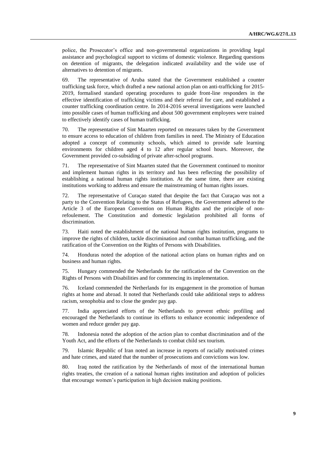police, the Prosecutor's office and non-governmental organizations in providing legal assistance and psychological support to victims of domestic violence. Regarding questions on detention of migrants, the delegation indicated availability and the wide use of alternatives to detention of migrants.

69. The representative of Aruba stated that the Government established a counter trafficking task force, which drafted a new national action plan on anti-trafficking for 2015- 2019, formalised standard operating procedures to guide front-line responders in the effective identification of trafficking victims and their referral for care, and established a counter trafficking coordination centre. In 2014-2016 several investigations were launched into possible cases of human trafficking and about 500 government employees were trained to effectively identify cases of human trafficking.

70. The representative of Sint Maarten reported on measures taken by the Government to ensure access to education of children from families in need. The Ministry of Education adopted a concept of community schools, which aimed to provide safe learning environments for children aged 4 to 12 after regular school hours. Moreover, the Government provided co-subsiding of private after-school programs.

71. The representative of Sint Maarten stated that the Government continued to monitor and implement human rights in its territory and has been reflecting the possibility of establishing a national human rights institution. At the same time, there are existing institutions working to address and ensure the mainstreaming of human rights issues.

72. The representative of Curaçao stated that despite the fact that Curaçao was not a party to the Convention Relating to the Status of Refugees, the Government adhered to the Article 3 of the European Convention on Human Rights and the principle of nonrefoulement. The Constitution and domestic legislation prohibited all forms of discrimination.

73. Haiti noted the establishment of the national human rights institution, programs to improve the rights of children, tackle discrimination and combat human trafficking, and the ratification of the Convention on the Rights of Persons with Disabilities.

74. Honduras noted the adoption of the national action plans on human rights and on business and human rights.

75. Hungary commended the Netherlands for the ratification of the Convention on the Rights of Persons with Disabilities and for commencing its implementation.

76. Iceland commended the Netherlands for its engagement in the promotion of human rights at home and abroad. It noted that Netherlands could take additional steps to address racism, xenophobia and to close the gender pay gap.

77. India appreciated efforts of the Netherlands to prevent ethnic profiling and encouraged the Netherlands to continue its efforts to enhance economic independence of women and reduce gender pay gap.

78. Indonesia noted the adoption of the action plan to combat discrimination and of the Youth Act, and the efforts of the Netherlands to combat child sex tourism.

79. Islamic Republic of Iran noted an increase in reports of racially motivated crimes and hate crimes, and stated that the number of prosecutions and convictions was low.

80. Iraq noted the ratification by the Netherlands of most of the international human rights treaties, the creation of a national human rights institution and adoption of policies that encourage women's participation in high decision making positions.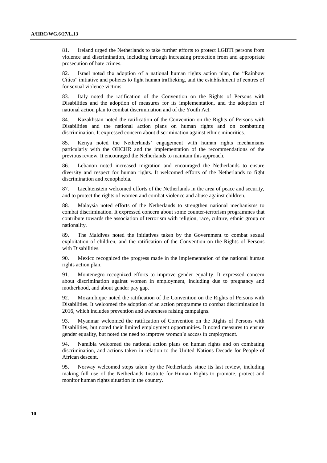81. Ireland urged the Netherlands to take further efforts to protect LGBTI persons from violence and discrimination, including through increasing protection from and appropriate prosecution of hate crimes.

82. Israel noted the adoption of a national human rights action plan, the "Rainbow Cities" initiative and policies to fight human trafficking, and the establishment of centres of for sexual violence victims.

83. Italy noted the ratification of the Convention on the Rights of Persons with Disabilities and the adoption of measures for its implementation, and the adoption of national action plan to combat discrimination and of the Youth Act.

84. Kazakhstan noted the ratification of the Convention on the Rights of Persons with Disabilities and the national action plans on human rights and on combatting discrimination. It expressed concern about discrimination against ethnic minorities.

85. Kenya noted the Netherlands' engagement with human rights mechanisms particularly with the OHCHR and the implementation of the recommendations of the previous review. It encouraged the Netherlands to maintain this approach.

86. Lebanon noted increased migration and encouraged the Netherlands to ensure diversity and respect for human rights. It welcomed efforts of the Netherlands to fight discrimination and xenophobia.

87. Liechtenstein welcomed efforts of the Netherlands in the area of peace and security, and to protect the rights of women and combat violence and abuse against children.

88. Malaysia noted efforts of the Netherlands to strengthen national mechanisms to combat discrimination. It expressed concern about some counter-terrorism programmes that contribute towards the association of terrorism with religion, race, culture, ethnic group or nationality.

89. The Maldives noted the initiatives taken by the Government to combat sexual exploitation of children, and the ratification of the Convention on the Rights of Persons with Disabilities.

90. Mexico recognized the progress made in the implementation of the national human rights action plan.

91. Montenegro recognized efforts to improve gender equality. It expressed concern about discrimination against women in employment, including due to pregnancy and motherhood, and about gender pay gap.

92. Mozambique noted the ratification of the Convention on the Rights of Persons with Disabilities. It welcomed the adoption of an action programme to combat discrimination in 2016, which includes prevention and awareness raising campaigns.

93. Myanmar welcomed the ratification of Convention on the Rights of Persons with Disabilities, but noted their limited employment opportunities. It noted measures to ensure gender equality, but noted the need to improve women's access in employment.

94. Namibia welcomed the national action plans on human rights and on combating discrimination, and actions taken in relation to the United Nations Decade for People of African descent.

95. Norway welcomed steps taken by the Netherlands since its last review, including making full use of the Netherlands Institute for Human Rights to promote, protect and monitor human rights situation in the country.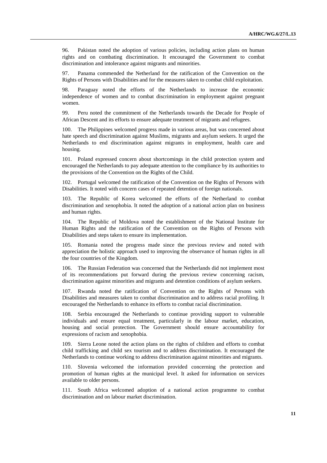96. Pakistan noted the adoption of various policies, including action plans on human rights and on combating discrimination. It encouraged the Government to combat discrimination and intolerance against migrants and minorities.

97. Panama commended the Netherland for the ratification of the Convention on the Rights of Persons with Disabilities and for the measures taken to combat child exploitation.

98. Paraguay noted the efforts of the Netherlands to increase the economic independence of women and to combat discrimination in employment against pregnant women.

99. Peru noted the commitment of the Netherlands towards the Decade for People of African Descent and its efforts to ensure adequate treatment of migrants and refugees.

The Philippines welcomed progress made in various areas, but was concerned about hate speech and discrimination against Muslims, migrants and asylum seekers. It urged the Netherlands to end discrimination against migrants in employment, health care and housing.

101. Poland expressed concern about shortcomings in the child protection system and encouraged the Netherlands to pay adequate attention to the compliance by its authorities to the provisions of the Convention on the Rights of the Child.

102. Portugal welcomed the ratification of the Convention on the Rights of Persons with Disabilities. It noted with concern cases of repeated detention of foreign nationals.

103. The Republic of Korea welcomed the efforts of the Netherland to combat discrimination and xenophobia. It noted the adoption of a national action plan on business and human rights.

104. The Republic of Moldova noted the establishment of the National Institute for Human Rights and the ratification of the Convention on the Rights of Persons with Disabilities and steps taken to ensure its implementation.

105. Romania noted the progress made since the previous review and noted with appreciation the holistic approach used to improving the observance of human rights in all the four countries of the Kingdom.

106. The Russian Federation was concerned that the Netherlands did not implement most of its recommendations put forward during the previous review concerning racism, discrimination against minorities and migrants and detention conditions of asylum seekers.

107. Rwanda noted the ratification of Convention on the Rights of Persons with Disabilities and measures taken to combat discrimination and to address racial profiling. It encouraged the Netherlands to enhance its efforts to combat racial discrimination.

108. Serbia encouraged the Netherlands to continue providing support to vulnerable individuals and ensure equal treatment, particularly in the labour market, education, housing and social protection. The Government should ensure accountability for expressions of racism and xenophobia.

109. Sierra Leone noted the action plans on the rights of children and efforts to combat child trafficking and child sex tourism and to address discrimination. It encouraged the Netherlands to continue working to address discrimination against minorities and migrants.

110. Slovenia welcomed the information provided concerning the protection and promotion of human rights at the municipal level. It asked for information on services available to older persons.

111. South Africa welcomed adoption of a national action programme to combat discrimination and on labour market discrimination.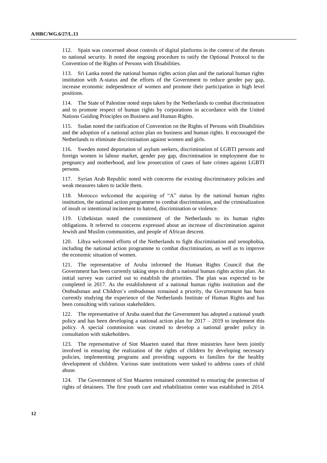112. Spain was concerned about controls of digital platforms in the context of the threats to national security. It noted the ongoing procedure to ratify the Optional Protocol to the Convention of the Rights of Persons with Disabilities.

113. Sri Lanka noted the national human rights action plan and the national human rights institution with A-status and the efforts of the Government to reduce gender pay gap, increase economic independence of women and promote their participation in high level positions.

114. The State of Palestine noted steps taken by the Netherlands to combat discrimination and to promote respect of human rights by corporations in accordance with the United Nations Guiding Principles on Business and Human Rights.

115. Sudan noted the ratification of Convention on the Rights of Persons with Disabilities and the adoption of a national action plan on business and human rights. It encouraged the Netherlands to eliminate discrimination against women and girls.

116. Sweden noted deportation of asylum seekers, discrimination of LGBTI persons and foreign women in labour market, gender pay gap, discrimination in employment due to pregnancy and motherhood, and low prosecution of cases of hate crimes against LGBTI persons.

117. Syrian Arab Republic noted with concerns the existing discriminatory policies and weak measures taken to tackle them.

118. Morocco welcomed the acquiring of "A" status by the national human rights institution, the national action programme to combat discrimination, and the criminalization of insult or intentional incitement to hatred, discrimination or violence.

119. Uzbekistan noted the commitment of the Netherlands to its human rights obligations. It referred to concerns expressed about an increase of discrimination against Jewish and Muslim communities, and people of African descent.

120. Libya welcomed efforts of the Netherlands to fight discrimination and xenophobia, including the national action programme to combat discrimination, as well as to improve the economic situation of women.

121. The representative of Aruba informed the Human Rights Council that the Government has been currently taking steps to draft a national human rights action plan. An initial survey was carried out to establish the priorities. The plan was expected to be completed in 2017. As the establishment of a national human rights institution and the Ombudsman and Children's ombudsman remained a priority, the Government has been currently studying the experience of the Netherlands Institute of Human Rights and has been consulting with various stakeholders.

122. The representative of Aruba stated that the Government has adopted a national youth policy and has been developing a national action plan for 2017 – 2019 to implement this policy. A special commission was created to develop a national gender policy in consultation with stakeholders.

123. The representative of Sint Maarten stated that three ministries have been jointly involved in ensuring the realization of the rights of children by developing necessary policies, implementing programs and providing supports to families for the healthy development of children. Various state institutions were tasked to address cases of child abuse.

124. The Government of Sint Maarten remained committed to ensuring the protection of rights of detainees. The first youth care and rehabilitation center was established in 2014.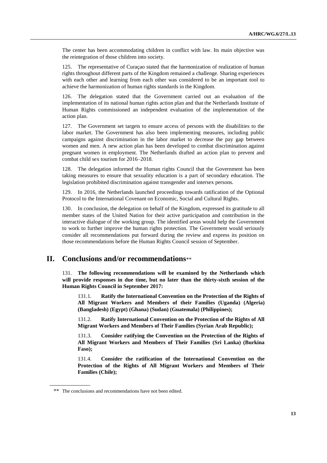The center has been accommodating children in conflict with law. Its main objective was the reintegration of those children into society.

125. The representative of Curaçao stated that the harmonization of realization of human rights throughout different parts of the Kingdom remained a challenge. Sharing experiences with each other and learning from each other was considered to be an important tool to achieve the harmonization of human rights standards in the Kingdom.

126. The delegation stated that the Government carried out an evaluation of the implementation of its national human rights action plan and that the Netherlands Institute of Human Rights commissioned an independent evaluation of the implementation of the action plan.

127. The Government set targets to ensure access of persons with the disabilities to the labor market. The Government has also been implementing measures, including public campaigns against discrimination in the labor market to decrease the pay gap between women and men. A new action plan has been developed to combat discrimination against pregnant women in employment. The Netherlands drafted an action plan to prevent and combat child sex tourism for 2016–2018.

128. The delegation informed the Human rights Council that the Government has been taking measures to ensure that sexuality education is a part of secondary education. The legislation prohibited discrimination against transgender and intersex persons.

129. In 2016, the Netherlands launched proceedings towards ratification of the Optional Protocol to the International Covenant on Economic, Social and Cultural Rights.

130. In conclusion, the delegation on behalf of the Kingdom, expressed its gratitude to all member states of the United Nation for their active participation and contribution in the interactive dialogue of the working group. The identified areas would help the Government to work to further improve the human rights protection. The Government would seriously consider all recommendations put forward during the review and express its position on those recommendations before the Human Rights Council session of September.

## **II. Conclusions and/or recommendations**\*\*

131. **The following recommendations will be examined by the Netherlands which will provide responses in due time, but no later than the thirty-sixth session of the Human Rights Council in September 2017:**

131.1. **Ratify the International Convention on the Protection of the Rights of All Migrant Workers and Members of their Families (Uganda) (Algeria) (Bangladesh) (Egypt) (Ghana) (Sudan) (Guatemala) (Philippines);**

131.2. **Ratify International Convention on the Protection of the Rights of All Migrant Workers and Members of Their Families (Syrian Arab Republic);**

131.3. **Consider ratifying the Convention on the Protection of the Rights of All Migrant Workers and Members of Their Families (Sri Lanka) (Burkina Faso);**

131.4. **Consider the ratification of the International Convention on the Protection of the Rights of All Migrant Workers and Members of Their Families (Chile);**

<sup>\*\*</sup> The conclusions and recommendations have not been edited.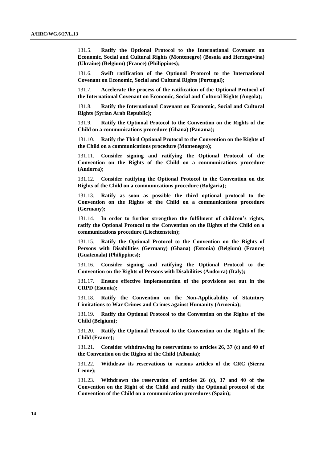131.5. **Ratify the Optional Protocol to the International Covenant on Economic, Social and Cultural Rights (Montenegro) (Bosnia and Herzegovina) (Ukraine) (Belgium) (France) (Philippines);**

131.6. **Swift ratification of the Optional Protocol to the International Covenant on Economic, Social and Cultural Rights (Portugal);**

131.7. **Accelerate the process of the ratification of the Optional Protocol of the International Covenant on Economic, Social and Cultural Rights (Angola);**

131.8. **Ratify the International Covenant on Economic, Social and Cultural Rights (Syrian Arab Republic);**

131.9. **Ratify the Optional Protocol to the Convention on the Rights of the Child on a communications procedure (Ghana) (Panama);**

131.10. **Ratify the Third Optional Protocol to the Convention on the Rights of the Child on a communications procedure (Montenegro);**

131.11. **Consider signing and ratifying the Optional Protocol of the Convention on the Rights of the Child on a communications procedure (Andorra);**

131.12. **Consider ratifying the Optional Protocol to the Convention on the Rights of the Child on a communications procedure (Bulgaria);**

131.13. **Ratify as soon as possible the third optional protocol to the Convention on the Rights of the Child on a communications procedure (Germany);**

131.14. **In order to further strengthen the fulfilment of children's rights, ratify the Optional Protocol to the Convention on the Rights of the Child on a communications procedure (Liechtenstein);**

131.15. **Ratify the Optional Protocol to the Convention on the Rights of Persons with Disabilities (Germany) (Ghana) (Estonia) (Belgium) (France) (Guatemala) (Philippines);**

131.16. **Consider signing and ratifying the Optional Protocol to the Convention on the Rights of Persons with Disabilities (Andorra) (Italy);**

131.17. **Ensure effective implementation of the provisions set out in the CRPD (Estonia);**

131.18. **Ratify the Convention on the Non-Applicability of Statutory Limitations to War Crimes and Crimes against Humanity (Armenia);**

131.19. **Ratify the Optional Protocol to the Convention on the Rights of the Child (Belgium);**

131.20. **Ratify the Optional Protocol to the Convention on the Rights of the Child (France);**

131.21. **Consider withdrawing its reservations to articles 26, 37 (c) and 40 of the Convention on the Rights of the Child (Albania);**

131.22. **Withdraw its reservations to various articles of the CRC (Sierra Leone);**

131.23. **Withdrawn the reservation of articles 26 (c), 37 and 40 of the Convention on the Right of the Child and ratify the Optional protocol of the Convention of the Child on a communication procedures (Spain);**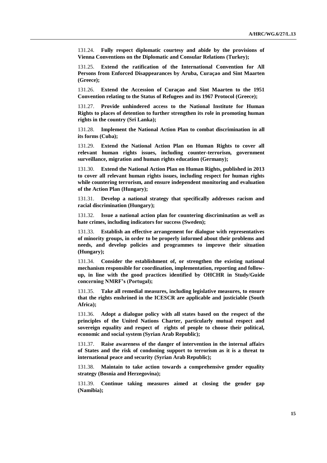131.24. **Fully respect diplomatic courtesy and abide by the provisions of Vienna Conventions on the Diplomatic and Consular Relations (Turkey);**

131.25. **Extend the ratification of the International Convention for All Persons from Enforced Disappearances by Aruba, Curaçao and Sint Maarten (Greece);**

131.26. **Extend the Accession of Curaçao and Sint Maarten to the 1951 Convention relating to the Status of Refugees and its 1967 Protocol (Greece);**

131.27. **Provide unhindered access to the National Institute for Human Rights to places of detention to further strengthen its role in promoting human rights in the country (Sri Lanka);**

131.28. **Implement the National Action Plan to combat discrimination in all its forms (Cuba);**

131.29. **Extend the National Action Plan on Human Rights to cover all relevant human rights issues, including counter-terrorism, government surveillance, migration and human rights education (Germany);**

131.30. **Extend the National Action Plan on Human Rights, published in 2013 to cover all relevant human rights issues, including respect for human rights while countering terrorism, and ensure independent monitoring and evaluation of the Action Plan (Hungary);**

131.31. **Develop a national strategy that specifically addresses racism and racial discrimination (Hungary);**

131.32. **Issue a national action plan for countering discrimination as well as hate crimes, including indicators for success (Sweden);**

131.33. **Establish an effective arrangement for dialogue with representatives of minority groups, in order to be properly informed about their problems and needs, and develop policies and programmes to improve their situation (Hungary);**

131.34. **Consider the establishment of, or strengthen the existing national mechanism responsible for coordination, implementation, reporting and followup, in line with the good practices identified by OHCHR in Study/Guide concerning NMRF's (Portugal);**

131.35. **Take all remedial measures, including legislative measures, to ensure that the rights enshrined in the ICESCR are applicable and justiciable (South Africa);**

131.36. **Adopt a dialogue policy with all states based on the respect of the principles of the United Nations Charter, particularly mutual respect and sovereign equality and respect of rights of people to choose their political, economic and social system (Syrian Arab Republic);**

131.37. **Raise awareness of the danger of intervention in the internal affairs of States and the risk of condoning support to terrorism as it is a threat to international peace and security (Syrian Arab Republic);**

131.38. **Maintain to take action towards a comprehensive gender equality strategy (Bosnia and Herzegovina);**

131.39. **Continue taking measures aimed at closing the gender gap (Namibia);**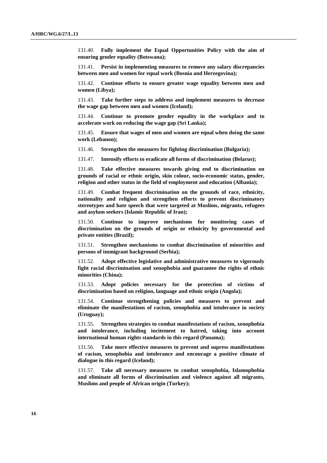131.40. **Fully implement the Equal Opportunities Policy with the aim of ensuring gender equality (Botswana);**

131.41. **Persist in implementing measures to remove any salary discrepancies between men and women for equal work (Bosnia and Herzegovina);**

131.42. **Continue efforts to ensure greater wage equality between men and women (Libya);**

131.43. **Take further steps to address and implement measures to decrease the wage gap between men and women (Iceland);**

131.44. **Continue to promote gender equality in the workplace and to accelerate work on reducing the wage gap (Sri Lanka);**

131.45. **Ensure that wages of men and women are equal when doing the same work (Lebanon);**

131.46. **Strengthen the measures for fighting discrimination (Bulgaria);**

131.47. **Intensify efforts to eradicate all forms of discrimination (Belarus);**

131.48. **Take effective measures towards giving end to discrimination on grounds of racial or ethnic origin, skin colour, socio-economic status, gender, religion and other status in the field of employment and education (Albania);**

131.49. **Combat frequent discrimination on the grounds of race, ethnicity, nationality and religion and strengthen efforts to prevent discriminatory stereotypes and hate speech that were targeted at Muslims, migrants, refugees and asylum seekers (Islamic Republic of Iran);**

131.50. **Continue to improve mechanisms for monitoring cases of discrimination on the grounds of origin or ethnicity by governmental and private entities (Brazil);**

131.51. **Strengthen mechanisms to combat discrimination of minorities and persons of immigrant background (Serbia);**

131.52. **Adopt effective legislative and administrative measures to vigorously fight racial discrimination and xenophobia and guarantee the rights of ethnic minorities (China);**

131.53. **Adopt policies necessary for the protection of victims of discrimination based on religion, language and ethnic origin (Angola);**

131.54. **Continue strengthening policies and measures to prevent and eliminate the manifestations of racism, xenophobia and intolerance in society (Uruguay);**

131.55. **Strengthen strategies to combat manifestations of racism, xenophobia and intolerance, including incitement to hatred, taking into account international human rights standards in this regard (Panama);**

131.56. **Take more effective measures to prevent and supress manifestations of racism, xenophobia and intolerance and encourage a positive climate of dialogue in this regard (Iceland);**

131.57. **Take all necessary measures to combat xenophobia, Islamophobia and eliminate all forms of discrimination and violence against all migrants, Muslims and people of African origin (Turkey);**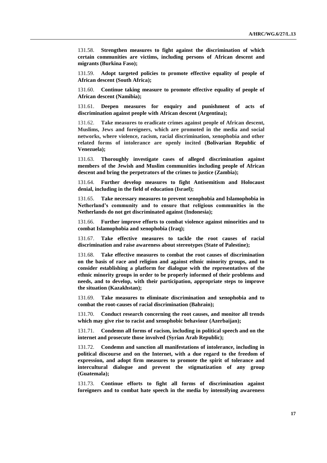131.58. **Strengthen measures to fight against the discrimination of which certain communities are victims, including persons of African descent and migrants (Burkina Faso);**

131.59. **Adopt targeted policies to promote effective equality of people of African descent (South Africa);**

131.60. **Continue taking measure to promote effective equality of people of African descent (Namibia);**

131.61. **Deepen measures for enquiry and punishment of acts of discrimination against people with African descent (Argentina);**

131.62. **Take measures to eradicate crimes against people of African descent, Muslims, Jews and foreigners, which are promoted in the media and social networks, where violence, racism, racial discrimination, xenophobia and other related forms of intolerance are openly incited (Bolivarian Republic of Venezuela);**

131.63. **Thoroughly investigate cases of alleged discrimination against members of the Jewish and Muslim communities including people of African descent and bring the perpetrators of the crimes to justice (Zambia);**

131.64. **Further develop measures to fight Antisemitism and Holocaust denial, including in the field of education (Israel);**

131.65. **Take necessary measures to prevent xenophobia and Islamophobia in Netherland's community and to ensure that religious communities in the Netherlands do not get discriminated against (Indonesia);**

131.66. **Further improve efforts to combat violence against minorities and to combat Islamophobia and xenophobia (Iraq);**

131.67. **Take effective measures to tackle the root causes of racial discrimination and raise awareness about stereotypes (State of Palestine);**

131.68. **Take effective measures to combat the root causes of discrimination on the basis of race and religion and against ethnic minority groups, and to consider establishing a platform for dialogue with the representatives of the ethnic minority groups in order to be properly informed of their problems and needs, and to develop, with their participation, appropriate steps to improve the situation (Kazakhstan);**

131.69. **Take measures to eliminate discrimination and xenophobia and to combat the root-causes of racial discrimination (Bahrain);**

131.70. **Conduct research concerning the root causes, and monitor all trends which may give rise to racist and xenophobic behaviour (Azerbaijan);**

131.71. **Condemn all forms of racism, including in political speech and on the internet and prosecute those involved (Syrian Arab Republic);**

131.72. **Condemn and sanction all manifestations of intolerance, including in political discourse and on the Internet, with a due regard to the freedom of expression, and adopt firm measures to promote the spirit of tolerance and intercultural dialogue and prevent the stigmatization of any group (Guatemala);**

131.73. **Continue efforts to fight all forms of discrimination against foreigners and to combat hate speech in the media by intensifying awareness**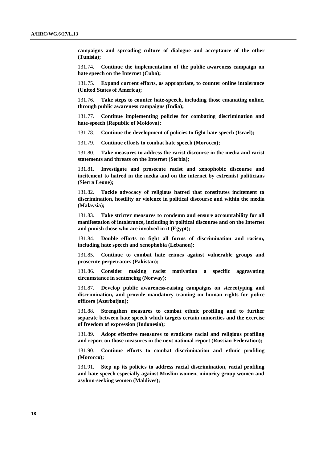**campaigns and spreading culture of dialogue and acceptance of the other (Tunisia);**

131.74. **Continue the implementation of the public awareness campaign on hate speech on the Internet (Cuba);**

131.75. **Expand current efforts, as appropriate, to counter online intolerance (United States of America);**

131.76. **Take steps to counter hate-speech, including those emanating online, through public awareness campaigns (India);**

131.77. **Continue implementing policies for combating discrimination and hate-speech (Republic of Moldova);**

131.78. **Continue the development of policies to fight hate speech (Israel);**

131.79. **Continue efforts to combat hate speech (Morocco);**

131.80. **Take measures to address the racist discourse in the media and racist statements and threats on the Internet (Serbia);**

131.81. **Investigate and prosecute racist and xenophobic discourse and incitement to hatred in the media and on the internet by extremist politicians (Sierra Leone);**

131.82. **Tackle advocacy of religious hatred that constitutes incitement to discrimination, hostility or violence in political discourse and within the media (Malaysia);**

131.83. **Take stricter measures to condemn and ensure accountability for all manifestation of intolerance, including in political discourse and on the Internet and punish those who are involved in it (Egypt);**

131.84. **Double efforts to fight all forms of discrimination and racism, including hate speech and xenophobia (Lebanon);**

131.85. **Continue to combat hate crimes against vulnerable groups and prosecute perpetrators (Pakistan);**

131.86. **Consider making racist motivation a specific aggravating circumstance in sentencing (Norway);**

131.87. **Develop public awareness-raising campaigns on stereotyping and discrimination, and provide mandatory training on human rights for police officers (Azerbaijan);**

131.88. **Strengthen measures to combat ethnic profiling and to further separate between hate speech which targets certain minorities and the exercise of freedom of expression (Indonesia);**

131.89. **Adopt effective measures to eradicate racial and religious profiling and report on those measures in the next national report (Russian Federation);**

131.90. **Continue efforts to combat discrimination and ethnic profiling (Morocco);**

131.91. **Step up its policies to address racial discrimination, racial profiling and hate speech especially against Muslim women, minority group women and asylum-seeking women (Maldives);**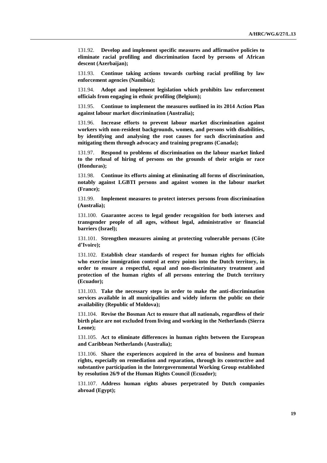131.92. **Develop and implement specific measures and affirmative policies to eliminate racial profiling and discrimination faced by persons of African descent (Azerbaijan);**

131.93. **Continue taking actions towards curbing racial profiling by law enforcement agencies (Namibia);**

131.94. **Adopt and implement legislation which prohibits law enforcement officials from engaging in ethnic profiling (Belgium);**

131.95. **Continue to implement the measures outlined in its 2014 Action Plan against labour market discrimination (Australia);**

131.96. **Increase efforts to prevent labour market discrimination against workers with non-resident backgrounds, women, and persons with disabilities, by identifying and analysing the root causes for such discrimination and mitigating them through advocacy and training programs (Canada);**

131.97. **Respond to problems of discrimination on the labour market linked to the refusal of hiring of persons on the grounds of their origin or race (Honduras);**

131.98. **Continue its efforts aiming at eliminating all forms of discrimination, notably against LGBTI persons and against women in the labour market (France);**

131.99. **Implement measures to protect intersex persons from discrimination (Australia);**

131.100. **Guarantee access to legal gender recognition for both intersex and transgender people of all ages, without legal, administrative or financial barriers (Israel);**

131.101. **Strengthen measures aiming at protecting vulnerable persons (Côte d'Ivoire);**

131.102. **Establish clear standards of respect for human rights for officials who exercise immigration control at entry points into the Dutch territory, in order to ensure a respectful, equal and non-discriminatory treatment and protection of the human rights of all persons entering the Dutch territory (Ecuador);**

131.103. **Take the necessary steps in order to make the anti-discrimination services available in all municipalities and widely inform the public on their availability (Republic of Moldova);**

131.104. **Revise the Bosman Act to ensure that all nationals, regardless of their birth place are not excluded from living and working in the Netherlands (Sierra Leone);**

131.105. **Act to eliminate differences in human rights between the European and Caribbean Netherlands (Australia);**

131.106. **Share the experiences acquired in the area of business and human rights, especially on remediation and reparation, through its constructive and substantive participation in the Intergovernmental Working Group established by resolution 26/9 of the Human Rights Council (Ecuador);**

131.107. **Address human rights abuses perpetrated by Dutch companies abroad (Egypt);**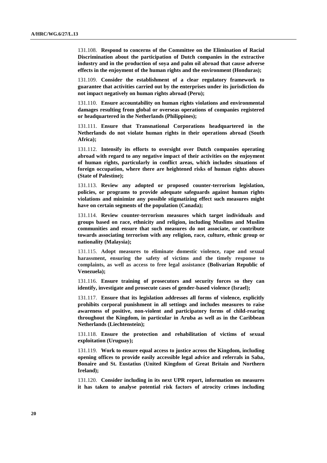131.108. **Respond to concerns of the Committee on the Elimination of Racial Discrimination about the participation of Dutch companies in the extractive industry and in the production of soya and palm oil abroad that cause adverse effects in the enjoyment of the human rights and the environment (Honduras);**

131.109. **Consider the establishment of a clear regulatory framework to guarantee that activities carried out by the enterprises under its jurisdiction do not impact negatively on human rights abroad (Peru);**

131.110. **Ensure accountability on human rights violations and environmental damages resulting from global or overseas operations of companies registered or headquartered in the Netherlands (Philippines);**

131.111. **Ensure that Transnational Corporations headquartered in the Netherlands do not violate human rights in their operations abroad (South Africa);**

131.112. **Intensify its efforts to oversight over Dutch companies operating abroad with regard to any negative impact of their activities on the enjoyment of human rights, particularly in conflict areas, which includes situations of foreign occupation, where there are heightened risks of human rights abuses (State of Palestine);**

131.113. **Review any adopted or proposed counter-terrorism legislation, policies, or programs to provide adequate safeguards against human rights violations and minimize any possible stigmatizing effect such measures might have on certain segments of the population (Canada);**

131.114. **Review counter-terrorism measures which target individuals and groups based on race, ethnicity and religion, including Muslims and Muslim communities and ensure that such measures do not associate, or contribute towards associating terrorism with any religion, race, culture, ethnic group or nationality (Malaysia);**

131.115. **Adopt measures to eliminate domestic violence, rape and sexual harassment, ensuring the safety of victims and the timely response to complaints, as well as access to free legal assistance (Bolivarian Republic of Venezuela);**

131.116. **Ensure training of prosecutors and security forces so they can identify, investigate and prosecute cases of gender-based violence (Israel);**

131.117. **Ensure that its legislation addresses all forms of violence, explicitly prohibits corporal punishment in all settings and includes measures to raise awareness of positive, non-violent and participatory forms of child-rearing throughout the Kingdom, in particular in Aruba as well as in the Caribbean Netherlands (Liechtenstein);**

131.118. **Ensure the protection and rehabilitation of victims of sexual exploitation (Uruguay);**

131.119. **Work to ensure equal access to justice across the Kingdom, including opening offices to provide easily accessible legal advice and referrals in Saba, Bonaire and St. Eustatius (United Kingdom of Great Britain and Northern Ireland);**

131.120. **Consider including in its next UPR report, information on measures it has taken to analyse potential risk factors of atrocity crimes including**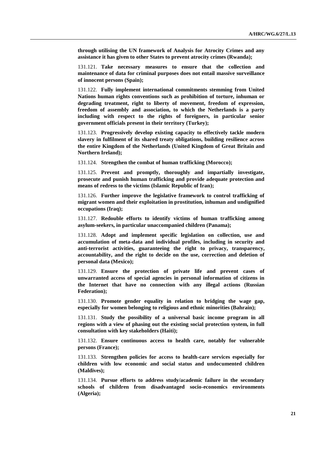**through utilising the UN framework of Analysis for Atrocity Crimes and any assistance it has given to other States to prevent atrocity crimes (Rwanda);**

131.121. **Take necessary measures to ensure that the collection and maintenance of data for criminal purposes does not entail massive surveillance of innocent persons (Spain);**

131.122. **Fully implement international commitments stemming from United Nations human rights conventions such as prohibition of torture, inhuman or degrading treatment, right to liberty of movement, freedom of expression, freedom of assembly and association, to which the Netherlands is a party including with respect to the rights of foreigners, in particular senior government officials present in their territory (Turkey);**

131.123. **Progressively develop existing capacity to effectively tackle modern slavery in fulfilment of its shared treaty obligations, building resilience across the entire Kingdom of the Netherlands (United Kingdom of Great Britain and Northern Ireland);**

131.124. **Strengthen the combat of human trafficking (Morocco);**

131.125. **Prevent and promptly, thoroughly and impartially investigate, prosecute and punish human trafficking and provide adequate protection and means of redress to the victims (Islamic Republic of Iran);**

131.126. **Further improve the legislative framework to control trafficking of migrant women and their exploitation in prostitution, inhuman and undignified occupations (Iraq);**

131.127. **Redouble efforts to identify victims of human trafficking among asylum-seekers, in particular unaccompanied children (Panama);**

131.128. **Adopt and implement specific legislation on collection, use and accumulation of meta-data and individual profiles, including in security and anti-terrorist activities, guaranteeing the right to privacy, transparency, accountability, and the right to decide on the use, correction and deletion of personal data (Mexico);**

131.129. **Ensure the protection of private life and prevent cases of unwarranted access of special agencies in personal information of citizens in the Internet that have no connection with any illegal actions (Russian Federation);**

131.130. **Promote gender equality in relation to bridging the wage gap, especially for women belonging to religious and ethnic minorities (Bahrain);**

131.131. **Study the possibility of a universal basic income program in all regions with a view of phasing out the existing social protection system, in full consultation with key stakeholders (Haiti);**

131.132. **Ensure continuous access to health care, notably for vulnerable persons (France);**

131.133. **Strengthen policies for access to health-care services especially for children with low economic and social status and undocumented children (Maldives);**

131.134. **Pursue efforts to address study/academic failure in the secondary schools of children from disadvantaged socio-economics environments (Algeria);**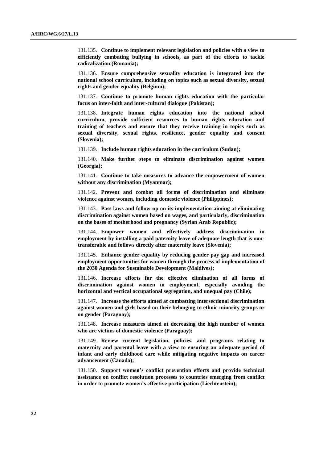131.135. **Continue to implement relevant legislation and policies with a view to efficiently combating bullying in schools, as part of the efforts to tackle radicalization (Romania);**

131.136. **Ensure comprehensive sexuality education is integrated into the national school curriculum, including on topics such as sexual diversity, sexual rights and gender equality (Belgium);**

131.137. **Continue to promote human rights education with the particular focus on inter-faith and inter-cultural dialogue (Pakistan);**

131.138. **Integrate human rights education into the national school curriculum, provide sufficient resources to human rights education and training of teachers and ensure that they receive training in topics such as sexual diversity, sexual rights, resilience, gender equality and consent (Slovenia);**

131.139. **Include human rights education in the curriculum (Sudan);**

131.140. **Make further steps to eliminate discrimination against women (Georgia);**

131.141. **Continue to take measures to advance the empowerment of women without any discrimination (Myanmar);**

131.142. **Prevent and combat all forms of discrimination and eliminate violence against women, including domestic violence (Philippines);**

131.143. **Pass laws and follow-up on its implementation aiming at eliminating discrimination against women based on wages, and particularly, discrimination on the bases of motherhood and pregnancy (Syrian Arab Republic);**

131.144. **Empower women and effectively address discrimination in employment by installing a paid paternity leave of adequate length that is nontransferable and follows directly after maternity leave (Slovenia);**

131.145. **Enhance gender equality by reducing gender pay gap and increased employment opportunities for women through the process of implementation of the 2030 Agenda for Sustainable Development (Maldives);**

131.146. **Increase efforts for the effective elimination of all forms of discrimination against women in employment, especially avoiding the horizontal and vertical occupational segregation, and unequal pay (Chile);**

131.147. **Increase the efforts aimed at combatting intersectional discrimination against women and girls based on their belonging to ethnic minority groups or on gender (Paraguay);**

131.148. **Increase measures aimed at decreasing the high number of women who are victims of domestic violence (Paraguay);**

131.149. **Review current legislation, policies, and programs relating to maternity and parental leave with a view to ensuring an adequate period of infant and early childhood care while mitigating negative impacts on career advancement (Canada);**

131.150. **Support women's conflict prevention efforts and provide technical assistance on conflict resolution processes to countries emerging from conflict in order to promote women's effective participation (Liechtenstein);**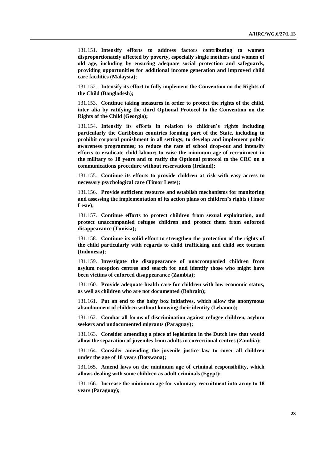131.151. **Intensify efforts to address factors contributing to women disproportionately affected by poverty, especially single mothers and women of old age, including by ensuring adequate social protection and safeguards, providing opportunities for additional income generation and improved child care facilities (Malaysia);**

131.152. **Intensify its effort to fully implement the Convention on the Rights of the Child (Bangladesh);**

131.153. **Continue taking measures in order to protect the rights of the child, inter alia by ratifying the third Optional Protocol to the Convention on the Rights of the Child (Georgia);**

131.154. **Intensify its efforts in relation to children's rights including particularly the Caribbean countries forming part of the State, including to prohibit corporal punishment in all settings; to develop and implement public awareness programmes; to reduce the rate of school drop-out and intensify efforts to eradicate child labour; to raise the minimum age of recruitment in the military to 18 years and to ratify the Optional protocol to the CRC on a communications procedure without reservations (Ireland);**

131.155. **Continue its efforts to provide children at risk with easy access to necessary psychological care (Timor Leste);**

131.156. **Provide sufficient resource and establish mechanisms for monitoring and assessing the implementation of its action plans on children's rights (Timor Leste);**

131.157. **Continue efforts to protect children from sexual exploitation, and protect unaccompanied refugee children and protect them from enforced disappearance (Tunisia);**

131.158. **Continue its solid effort to strengthen the protection of the rights of the child particularly with regards to child trafficking and child sex tourism (Indonesia);**

131.159. **Investigate the disappearance of unaccompanied children from asylum reception centres and search for and identify those who might have been victims of enforced disappearance (Zambia);**

131.160. **Provide adequate health care for children with low economic status, as well as children who are not documented (Bahrain);**

131.161. **Put an end to the baby box initiatives, which allow the anonymous abandonment of children without knowing their identity (Lebanon);**

131.162. **Combat all forms of discrimination against refugee children, asylum seekers and undocumented migrants (Paraguay);**

131.163. **Consider amending a piece of legislation in the Dutch law that would allow the separation of juveniles from adults in correctional centres (Zambia);**

131.164. **Consider amending the juvenile justice law to cover all children under the age of 18 years (Botswana);**

131.165. **Amend laws on the minimum age of criminal responsibility, which allows dealing with some children as adult criminals (Egypt);**

131.166. **Increase the minimum age for voluntary recruitment into army to 18 years (Paraguay);**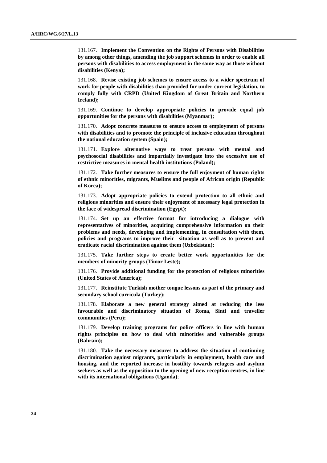131.167. **Implement the Convention on the Rights of Persons with Disabilities by among other things, amending the job support schemes in order to enable all persons with disabilities to access employment in the same way as those without disabilities (Kenya);**

131.168. **Revise existing job schemes to ensure access to a wider spectrum of work for people with disabilities than provided for under current legislation, to comply fully with CRPD (United Kingdom of Great Britain and Northern Ireland);**

131.169. **Continue to develop appropriate policies to provide equal job opportunities for the persons with disabilities (Myanmar);**

131.170. **Adopt concrete measures to ensure access to employment of persons with disabilities and to promote the principle of inclusive education throughout the national education system (Spain);**

131.171. **Explore alternative ways to treat persons with mental and psychosocial disabilities and impartially investigate into the excessive use of restrictive measures in mental health institutions (Poland);**

131.172. **Take further measures to ensure the full enjoyment of human rights of ethnic minorities, migrants, Muslims and people of African origin (Republic of Korea);**

131.173. **Adopt appropriate policies to extend protection to all ethnic and religious minorities and ensure their enjoyment of necessary legal protection in the face of widespread discrimination (Egypt);**

131.174. **Set up an effective format for introducing a dialogue with representatives of minorities, acquiring comprehensive information on their problems and needs, developing and implementing, in consultation with them, policies and programs to improve their situation as well as to prevent and eradicate racial discrimination against them (Uzbekistan);**

131.175. **Take further steps to create better work opportunities for the members of minority groups (Timor Leste);**

131.176. **Provide additional funding for the protection of religious minorities (United States of America);**

131.177. **Reinstitute Turkish mother tongue lessons as part of the primary and secondary school curricula (Turkey);**

131.178. **Elaborate a new general strategy aimed at reducing the less favourable and discriminatory situation of Roma, Sinti and traveller communities (Peru);**

131.179. **Develop training programs for police officers in line with human rights principles on how to deal with minorities and vulnerable groups (Bahrain);**

131.180. **Take the necessary measures to address the situation of continuing discrimination against migrants, particularly in employment, health care and housing, and the reported increase in hostility towards refugees and asylum seekers as well as the opposition to the opening of new reception centres, in line with its international obligations (Uganda)**;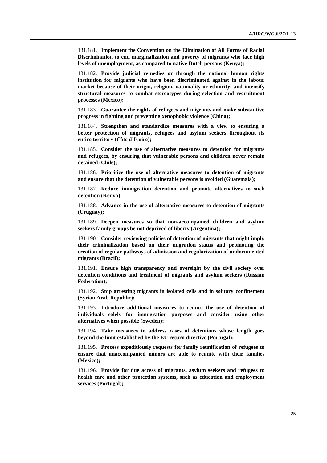131.181. **Implement the Convention on the Elimination of All Forms of Racial Discrimination to end marginalization and poverty of migrants who face high levels of unemployment, as compared to native Dutch persons (Kenya);**

131.182. **Provide judicial remedies or through the national human rights institution for migrants who have been discriminated against in the labour market because of their origin, religion, nationality or ethnicity, and intensify structural measures to combat stereotypes during selection and recruitment processes (Mexico);**

131.183. **Guarantee the rights of refugees and migrants and make substantive progress in fighting and preventing xenophobic violence (China);**

131.184. **Strengthen and standardize measures with a view to ensuring a better protection of migrants, refugees and asylum seekers throughout its entire territory (Côte d'Ivoire);**

131.185. **Consider the use of alternative measures to detention for migrants and refugees, by ensuring that vulnerable persons and children never remain detained (Chile);**

131.186. **Prioritize the use of alternative measures to detention of migrants and ensure that the detention of vulnerable persons is avoided (Guatemala);**

131.187. **Reduce immigration detention and promote alternatives to such detention (Kenya);**

131.188. **Advance in the use of alternative measures to detention of migrants (Uruguay);**

131.189. **Deepen measures so that non-accompanied children and asylum seekers family groups be not deprived of liberty (Argentina);**

131.190. **Consider reviewing policies of detention of migrants that might imply their criminalization based on their migration status and promoting the creation of regular pathways of admission and regularization of undocumented migrants (Brazil);**

131.191. **Ensure high transparency and oversight by the civil society over detention conditions and treatment of migrants and asylum seekers (Russian Federation);**

131.192. **Stop arresting migrants in isolated cells and in solitary confinement (Syrian Arab Republic);**

131.193. **Introduce additional measures to reduce the use of detention of individuals solely for immigration purposes and consider using other alternatives when possible (Sweden);**

131.194. **Take measures to address cases of detentions whose length goes beyond the limit established by the EU return directive (Portugal);**

131.195. **Process expeditiously requests for family reunification of refugees to ensure that unaccompanied minors are able to reunite with their families (Mexico);**

131.196. **Provide for due access of migrants, asylum seekers and refugees to health care and other protection systems, such as education and employment services (Portugal);**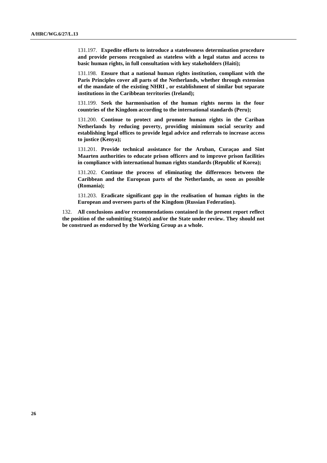131.197. **Expedite efforts to introduce a statelessness determination procedure and provide persons recognised as stateless with a legal status and access to basic human rights, in full consultation with key stakeholders (Haiti);**

131.198. **Ensure that a national human rights institution, compliant with the Paris Principles cover all parts of the Netherlands, whether through extension of the mandate of the existing NHRI , or establishment of similar but separate institutions in the Caribbean territories (Ireland);**

131.199. **Seek the harmonisation of the human rights norms in the four countries of the Kingdom according to the international standards (Peru);**

131.200. **Continue to protect and promote human rights in the Cariban Netherlands by reducing poverty, providing minimum social security and establishing legal offices to provide legal advice and referrals to increase access to justice (Kenya);**

131.201. **Provide technical assistance for the Aruban, Curaçao and Sint Maarten authorities to educate prison officers and to improve prison facilities in compliance with international human rights standards (Republic of Korea);**

131.202. **Continue the process of eliminating the differences between the Caribbean and the European parts of the Netherlands, as soon as possible (Romania);**

131.203. **Eradicate significant gap in the realisation of human rights in the European and oversees parts of the Kingdom (Russian Federation).**

132. **All conclusions and/or recommendations contained in the present report reflect the position of the submitting State(s) and/or the State under review. They should not be construed as endorsed by the Working Group as a whole.**